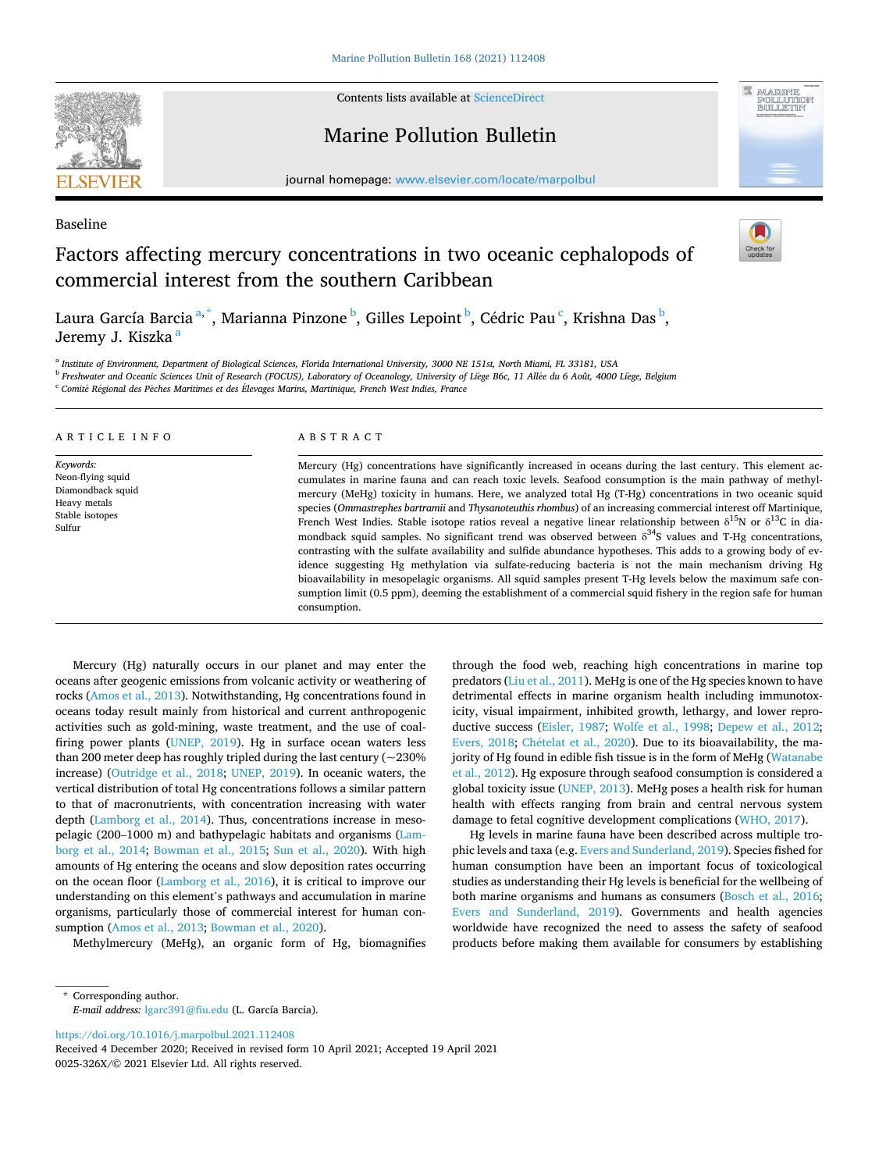

Contents lists available at [ScienceDirect](www.sciencedirect.com/science/journal/0025326X)

## Marine Pollution Bulletin





# Baseline Factors affecting mercury concentrations in two oceanic cephalopods of commercial interest from the southern Caribbean



Laura García Barcia<sup>a,\*</sup>, Marianna Pinzone <sup>b</sup>, Gilles Lepoint <sup>b</sup>, Cédric Pau <sup>c</sup>, Krishna Das <sup>b</sup>, Jeremy J. Kiszka<sup>a</sup>

<sup>a</sup> *Institute of Environment, Department of Biological Sciences, Florida International University, 3000 NE 151st, North Miami, FL 33181, USA* 

<sup>b</sup> *Freshwater and Oceanic Sciences Unit of Research (FOCUS), Laboratory of Oceanology, University of Li*`*ege B6c, 11 All*´*ee du 6 Août, 4000 Li*`*ege, Belgium* 

<sup>c</sup> *Comit*´*e R*´*egional des P*ˆ*eches Maritimes et des Elevages* ´ *Marins, Martinique, French West Indies, France* 

| ARTICLE INFO                                                                                     | ABSTRACT                                                                                                                                                                                                                                                                                                                                                                                                                                                                                                                                                                                                                                                                                                                                                                                                                                                                                                                                                                                                                                                                                                                                                                                   |  |  |
|--------------------------------------------------------------------------------------------------|--------------------------------------------------------------------------------------------------------------------------------------------------------------------------------------------------------------------------------------------------------------------------------------------------------------------------------------------------------------------------------------------------------------------------------------------------------------------------------------------------------------------------------------------------------------------------------------------------------------------------------------------------------------------------------------------------------------------------------------------------------------------------------------------------------------------------------------------------------------------------------------------------------------------------------------------------------------------------------------------------------------------------------------------------------------------------------------------------------------------------------------------------------------------------------------------|--|--|
| Keywords:<br>Neon-flying squid<br>Diamondback squid<br>Heavy metals<br>Stable isotopes<br>Sulfur | Mercury (Hg) concentrations have significantly increased in oceans during the last century. This element ac-<br>cumulates in marine fauna and can reach toxic levels. Seafood consumption is the main pathway of methyl-<br>mercury (MeHg) toxicity in humans. Here, we analyzed total Hg (T-Hg) concentrations in two oceanic squid<br>species (Ommastrephes bartramii and Thysanoteuthis rhombus) of an increasing commercial interest off Martinique,<br>French West Indies. Stable isotope ratios reveal a negative linear relationship between $\delta^{15}N$ or $\delta^{13}C$ in dia-<br>mondback squid samples. No significant trend was observed between $\delta^{34}S$ values and T-Hg concentrations,<br>contrasting with the sulfate availability and sulfide abundance hypotheses. This adds to a growing body of ev-<br>idence suggesting Hg methylation via sulfate-reducing bacteria is not the main mechanism driving Hg<br>bioavailability in mesopelagic organisms. All squid samples present T-Hg levels below the maximum safe con-<br>sumption limit (0.5 ppm), deeming the establishment of a commercial squid fishery in the region safe for human<br>consumption. |  |  |

Mercury (Hg) naturally occurs in our planet and may enter the oceans after geogenic emissions from volcanic activity or weathering of rocks [\(Amos et al., 2013\)](#page-4-0). Notwithstanding, Hg concentrations found in oceans today result mainly from historical and current anthropogenic activities such as gold-mining, waste treatment, and the use of coalfiring power plants [\(UNEP, 2019](#page-5-0)). Hg in surface ocean waters less than 200 meter deep has roughly tripled during the last century ( $\sim$ 230% increase) ([Outridge et al., 2018](#page-5-0); [UNEP, 2019\)](#page-5-0). In oceanic waters, the vertical distribution of total Hg concentrations follows a similar pattern to that of macronutrients, with concentration increasing with water depth ([Lamborg et al., 2014](#page-5-0)). Thus, concentrations increase in mesopelagic (200–1000 m) and bathypelagic habitats and organisms [\(Lam](#page-5-0)[borg et al., 2014;](#page-5-0) [Bowman et al., 2015](#page-4-0); [Sun et al., 2020](#page-5-0)). With high amounts of Hg entering the oceans and slow deposition rates occurring on the ocean floor ([Lamborg et al., 2016\)](#page-5-0), it is critical to improve our understanding on this element's pathways and accumulation in marine organisms, particularly those of commercial interest for human consumption ([Amos et al., 2013](#page-4-0); [Bowman et al., 2020](#page-4-0)).

Methylmercury (MeHg), an organic form of Hg, biomagnifies

through the food web, reaching high concentrations in marine top predators ([Liu et al., 2011](#page-5-0)). MeHg is one of the Hg species known to have detrimental effects in marine organism health including immunotoxicity, visual impairment, inhibited growth, lethargy, and lower reproductive success [\(Eisler, 1987](#page-5-0); [Wolfe et al., 1998](#page-6-0); [Depew et al., 2012](#page-4-0); [Evers, 2018;](#page-5-0) Chételat et al., 2020). Due to its bioavailability, the majority of Hg found in edible fish tissue is in the form of MeHg ([Watanabe](#page-5-0)  [et al., 2012](#page-5-0)). Hg exposure through seafood consumption is considered a global toxicity issue [\(UNEP, 2013](#page-5-0)). MeHg poses a health risk for human health with effects ranging from brain and central nervous system damage to fetal cognitive development complications [\(WHO, 2017\)](#page-6-0).

Hg levels in marine fauna have been described across multiple trophic levels and taxa (e.g. [Evers and Sunderland, 2019\)](#page-5-0). Species fished for human consumption have been an important focus of toxicological studies as understanding their Hg levels is beneficial for the wellbeing of both marine organisms and humans as consumers ([Bosch et al., 2016](#page-4-0); [Evers and Sunderland, 2019\)](#page-5-0). Governments and health agencies worldwide have recognized the need to assess the safety of seafood products before making them available for consumers by establishing

<https://doi.org/10.1016/j.marpolbul.2021.112408>

0025-326X/© 2021 Elsevier Ltd. All rights reserved. Received 4 December 2020; Received in revised form 10 April 2021; Accepted 19 April 2021

<sup>\*</sup> Corresponding author. *E-mail address:* [lgarc391@fiu.edu](mailto:lgarc391@fiu.edu) (L. García Barcia).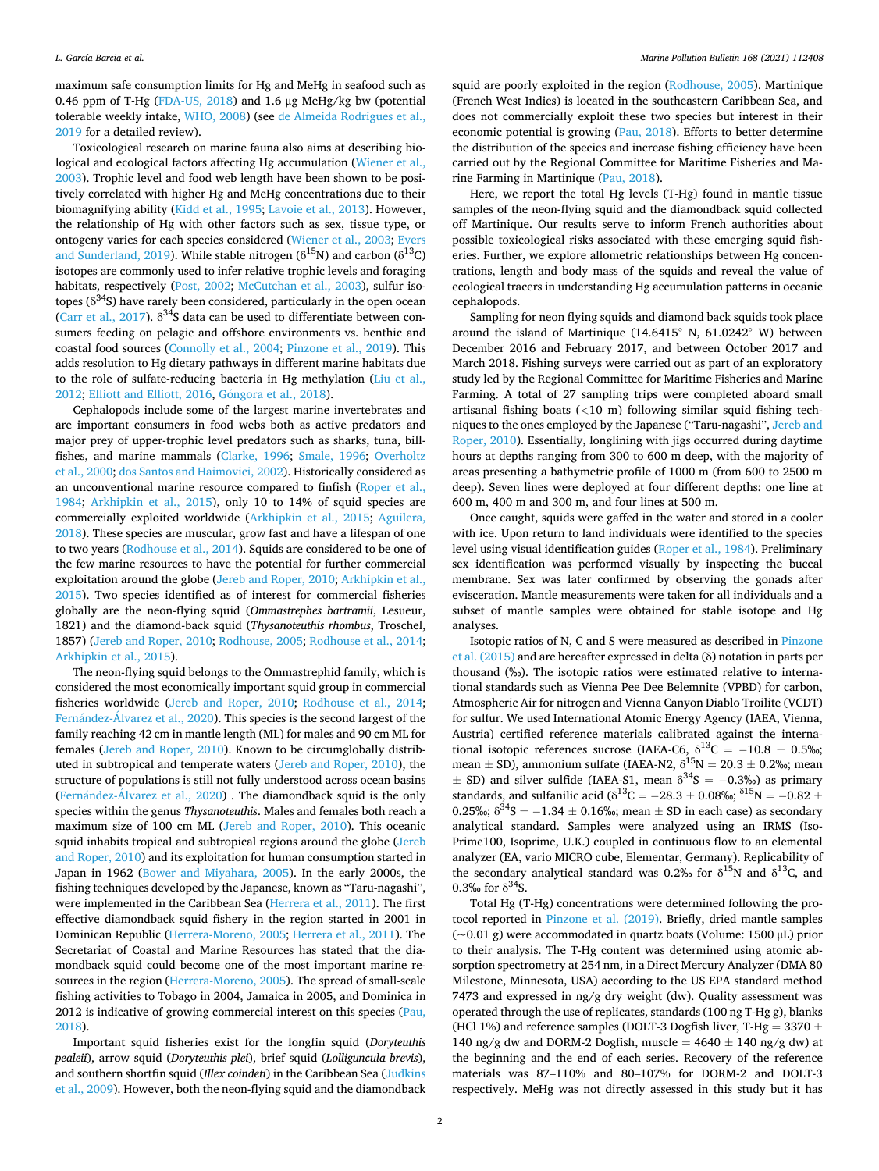maximum safe consumption limits for Hg and MeHg in seafood such as 0.46 ppm of T-Hg [\(FDA-US, 2018\)](#page-5-0) and 1.6 μg MeHg/kg bw (potential tolerable weekly intake, [WHO, 2008\)](#page-6-0) (see [de Almeida Rodrigues et al.,](#page-4-0)  [2019](#page-4-0) for a detailed review).

Toxicological research on marine fauna also aims at describing biological and ecological factors affecting Hg accumulation [\(Wiener et al.,](#page-5-0)  [2003\)](#page-5-0). Trophic level and food web length have been shown to be positively correlated with higher Hg and MeHg concentrations due to their biomagnifying ability ([Kidd et al., 1995; Lavoie et al., 2013](#page-5-0)). However, the relationship of Hg with other factors such as sex, tissue type, or ontogeny varies for each species considered [\(Wiener et al., 2003](#page-5-0); [Evers](#page-5-0)  [and Sunderland, 2019](#page-5-0)). While stable nitrogen ( $\delta^{15}N$ ) and carbon ( $\delta^{13}C$ ) isotopes are commonly used to infer relative trophic levels and foraging habitats, respectively ([Post, 2002](#page-5-0); [McCutchan et al., 2003](#page-5-0)), sulfur isotopes ( $\delta^{34}$ S) have rarely been considered, particularly in the open ocean ([Carr et al., 2017\)](#page-4-0).  $\delta^{34}S$  data can be used to differentiate between consumers feeding on pelagic and offshore environments vs. benthic and coastal food sources ([Connolly et al., 2004;](#page-4-0) [Pinzone et al., 2019\)](#page-5-0). This adds resolution to Hg dietary pathways in different marine habitats due to the role of sulfate-reducing bacteria in Hg methylation ([Liu et al.,](#page-5-0)  [2012; Elliott and Elliott, 2016,](#page-5-0) Góngora [et al., 2018](#page-5-0)).

Cephalopods include some of the largest marine invertebrates and are important consumers in food webs both as active predators and major prey of upper-trophic level predators such as sharks, tuna, billfishes, and marine mammals ([Clarke, 1996;](#page-4-0) [Smale, 1996;](#page-5-0) [Overholtz](#page-5-0)  [et al., 2000; dos Santos and Haimovici, 2002](#page-5-0)). Historically considered as an unconventional marine resource compared to finfish [\(Roper et al.,](#page-5-0)  [1984;](#page-5-0) [Arkhipkin et al., 2015\)](#page-4-0), only 10 to 14% of squid species are commercially exploited worldwide [\(Arkhipkin et al., 2015;](#page-4-0) [Aguilera,](#page-4-0)  [2018\)](#page-4-0). These species are muscular, grow fast and have a lifespan of one to two years ([Rodhouse et al., 2014\)](#page-5-0). Squids are considered to be one of the few marine resources to have the potential for further commercial exploitation around the globe [\(Jereb and Roper, 2010](#page-5-0); [Arkhipkin et al.,](#page-4-0)  [2015\)](#page-4-0). Two species identified as of interest for commercial fisheries globally are the neon-flying squid (*Ommastrephes bartramii*, Lesueur, 1821) and the diamond-back squid (*Thysanoteuthis rhombus*, Troschel, 1857) ([Jereb and Roper, 2010; Rodhouse, 2005](#page-5-0); [Rodhouse et al., 2014](#page-5-0); [Arkhipkin et al., 2015\)](#page-4-0).

The neon-flying squid belongs to the Ommastrephid family, which is considered the most economically important squid group in commercial fisheries worldwide ([Jereb and Roper, 2010](#page-5-0); [Rodhouse et al., 2014](#page-5-0); Fernández-Álvarez [et al., 2020\)](#page-5-0). This species is the second largest of the family reaching 42 cm in mantle length (ML) for males and 90 cm ML for females [\(Jereb and Roper, 2010\)](#page-5-0). Known to be circumglobally distributed in subtropical and temperate waters [\(Jereb and Roper, 2010\)](#page-5-0), the structure of populations is still not fully understood across ocean basins (Fernández-Álvarez [et al., 2020\)](#page-5-0) . The diamondback squid is the only species within the genus *Thysanoteuthis*. Males and females both reach a maximum size of 100 cm ML ([Jereb and Roper, 2010](#page-5-0)). This oceanic squid inhabits tropical and subtropical regions around the globe [\(Jereb](#page-5-0)  [and Roper, 2010\)](#page-5-0) and its exploitation for human consumption started in Japan in 1962 ([Bower and Miyahara, 2005\)](#page-4-0). In the early 2000s, the fishing techniques developed by the Japanese, known as "Taru-nagashi", were implemented in the Caribbean Sea ([Herrera et al., 2011\)](#page-5-0). The first effective diamondback squid fishery in the region started in 2001 in Dominican Republic ([Herrera-Moreno, 2005; Herrera et al., 2011\)](#page-5-0). The Secretariat of Coastal and Marine Resources has stated that the diamondback squid could become one of the most important marine resources in the region ([Herrera-Moreno, 2005\)](#page-5-0). The spread of small-scale fishing activities to Tobago in 2004, Jamaica in 2005, and Dominica in 2012 is indicative of growing commercial interest on this species (Pau, [2018\)](#page-5-0).

Important squid fisheries exist for the longfin squid (*Doryteuthis pealeii*), arrow squid (*Doryteuthis plei*), brief squid (*Lolliguncula brevis*), and southern shortfin squid (*Illex coindeti*) in the Caribbean Sea [\(Judkins](#page-5-0)  [et al., 2009\)](#page-5-0). However, both the neon-flying squid and the diamondback squid are poorly exploited in the region ([Rodhouse, 2005\)](#page-5-0). Martinique (French West Indies) is located in the southeastern Caribbean Sea, and does not commercially exploit these two species but interest in their economic potential is growing ([Pau, 2018](#page-5-0)). Efforts to better determine the distribution of the species and increase fishing efficiency have been carried out by the Regional Committee for Maritime Fisheries and Marine Farming in Martinique [\(Pau, 2018](#page-5-0)).

Here, we report the total Hg levels (T-Hg) found in mantle tissue samples of the neon-flying squid and the diamondback squid collected off Martinique. Our results serve to inform French authorities about possible toxicological risks associated with these emerging squid fisheries. Further, we explore allometric relationships between Hg concentrations, length and body mass of the squids and reveal the value of ecological tracers in understanding Hg accumulation patterns in oceanic cephalopods.

Sampling for neon flying squids and diamond back squids took place around the island of Martinique (14.6415◦ N, 61.0242◦ W) between December 2016 and February 2017, and between October 2017 and March 2018. Fishing surveys were carried out as part of an exploratory study led by the Regional Committee for Maritime Fisheries and Marine Farming. A total of 27 sampling trips were completed aboard small artisanal fishing boats (*<*10 m) following similar squid fishing techniques to the ones employed by the Japanese ("Taru-nagashi", [Jereb and](#page-5-0)  [Roper, 2010](#page-5-0)). Essentially, longlining with jigs occurred during daytime hours at depths ranging from 300 to 600 m deep, with the majority of areas presenting a bathymetric profile of 1000 m (from 600 to 2500 m deep). Seven lines were deployed at four different depths: one line at 600 m, 400 m and 300 m, and four lines at 500 m.

Once caught, squids were gaffed in the water and stored in a cooler with ice. Upon return to land individuals were identified to the species level using visual identification guides [\(Roper et al., 1984\)](#page-5-0). Preliminary sex identification was performed visually by inspecting the buccal membrane. Sex was later confirmed by observing the gonads after evisceration. Mantle measurements were taken for all individuals and a subset of mantle samples were obtained for stable isotope and Hg analyses.

Isotopic ratios of N, C and S were measured as described in [Pinzone](#page-5-0)  [et al. \(2015\)](#page-5-0) and are hereafter expressed in delta (δ) notation in parts per thousand (‰). The isotopic ratios were estimated relative to international standards such as Vienna Pee Dee Belemnite (VPBD) for carbon, Atmospheric Air for nitrogen and Vienna Canyon Diablo Troilite (VCDT) for sulfur. We used International Atomic Energy Agency (IAEA, Vienna, Austria) certified reference materials calibrated against the international isotopic references sucrose (IAEA-C6,  $\delta^{13}$ C = -10.8  $\pm$  0.5‰; mean  $\pm$  SD), ammonium sulfate (IAEA-N2,  $\delta^{15}N = 20.3 \pm 0.2\%$ ; mean  $\pm$  SD) and silver sulfide (IAEA-S1, mean  $\delta^{34}S = -0.3\%$ ) as primary standards, and sulfanilic acid ( $\delta^{13}C = -28.3 \pm 0.08$ %;  $\delta^{15}N = -0.82 \pm 0.08$ 0.25‰;  $\delta^{34}S = -1.34 \pm 0.16$ ‰; mean  $\pm$  SD in each case) as secondary analytical standard. Samples were analyzed using an IRMS (Iso-Prime100, Isoprime, U.K.) coupled in continuous flow to an elemental analyzer (EA, vario MICRO cube, Elementar, Germany). Replicability of the secondary analytical standard was 0.2‰ for  $\delta^{15}N$  and  $\delta^{13}C$ , and 0.3‰ for  $\delta^{34}S$ .

Total Hg (T-Hg) concentrations were determined following the protocol reported in [Pinzone et al. \(2019\).](#page-5-0) Briefly, dried mantle samples  $(-0.01 \text{ g})$  were accommodated in quartz boats (Volume: 1500 µL) prior to their analysis. The T-Hg content was determined using atomic absorption spectrometry at 254 nm, in a Direct Mercury Analyzer (DMA 80 Milestone, Minnesota, USA) according to the US EPA standard method 7473 and expressed in ng/g dry weight (dw). Quality assessment was operated through the use of replicates, standards (100 ng T-Hg g), blanks (HCl 1%) and reference samples (DOLT-3 Dogfish liver, T-Hg = 3370  $\pm$ 140 ng/g dw and DORM-2 Dogfish, muscle =  $4640 \pm 140$  ng/g dw) at the beginning and the end of each series. Recovery of the reference materials was 87–110% and 80–107% for DORM-2 and DOLT-3 respectively. MeHg was not directly assessed in this study but it has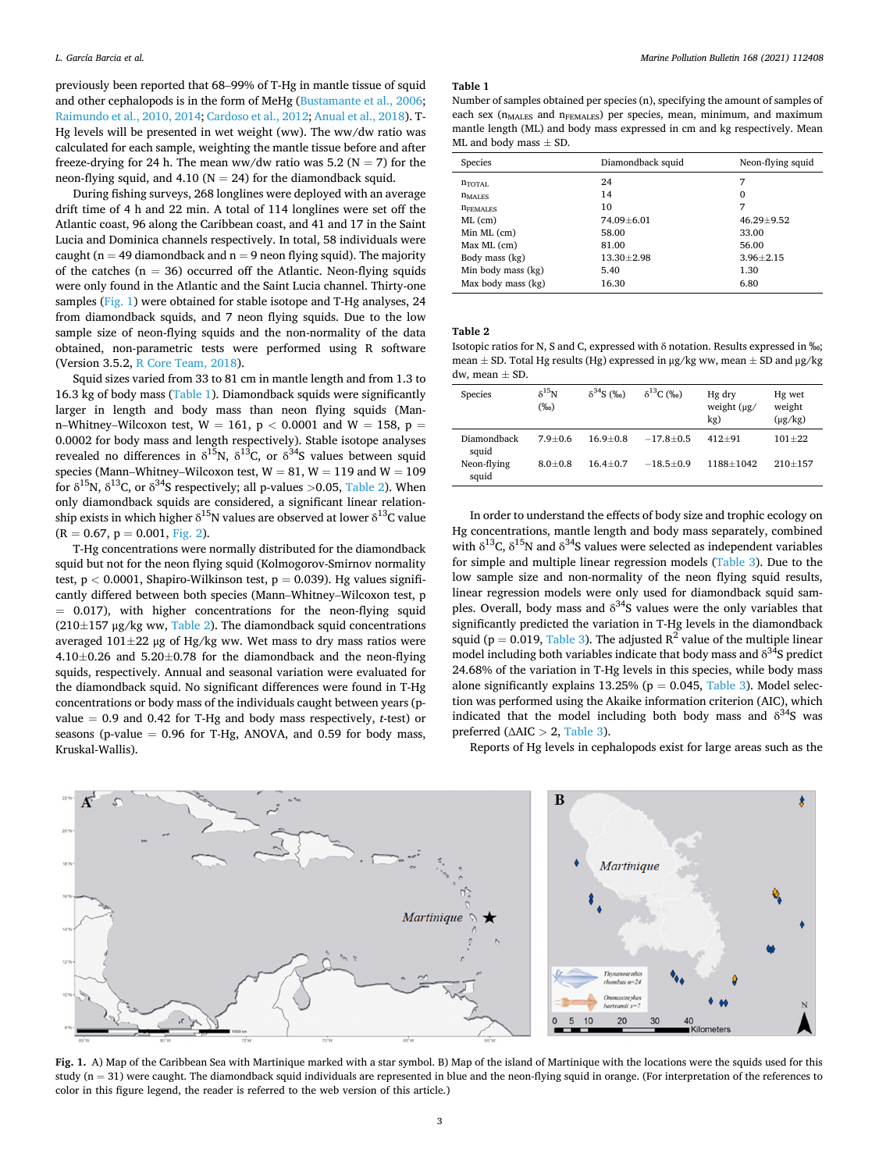previously been reported that 68–99% of T-Hg in mantle tissue of squid and other cephalopods is in the form of MeHg [\(Bustamante et al., 2006](#page-4-0); [Raimundo et al., 2010, 2014](#page-5-0); [Cardoso et al., 2012](#page-4-0); [Anual et al., 2018](#page-4-0)). T-Hg levels will be presented in wet weight (ww). The ww/dw ratio was calculated for each sample, weighting the mantle tissue before and after freeze-drying for 24 h. The mean ww/dw ratio was 5.2 ( $N = 7$ ) for the neon-flying squid, and 4.10 ( $N = 24$ ) for the diamondback squid.

During fishing surveys, 268 longlines were deployed with an average drift time of 4 h and 22 min. A total of 114 longlines were set off the Atlantic coast, 96 along the Caribbean coast, and 41 and 17 in the Saint Lucia and Dominica channels respectively. In total, 58 individuals were caught ( $n = 49$  diamondback and  $n = 9$  neon flying squid). The majority of the catches ( $n = 36$ ) occurred off the Atlantic. Neon-flying squids were only found in the Atlantic and the Saint Lucia channel. Thirty-one samples (Fig. 1) were obtained for stable isotope and T-Hg analyses, 24 from diamondback squids, and 7 neon flying squids. Due to the low sample size of neon-flying squids and the non-normality of the data obtained, non-parametric tests were performed using R software (Version 3.5.2, [R Core Team, 2018\)](#page-5-0).

Squid sizes varied from 33 to 81 cm in mantle length and from 1.3 to 16.3 kg of body mass (Table 1). Diamondback squids were significantly larger in length and body mass than neon flying squids (Mann–Whitney–Wilcoxon test,  $W = 161$ ,  $p < 0.0001$  and  $W = 158$ ,  $p =$ 0.0002 for body mass and length respectively). Stable isotope analyses revealed no differences in  $\delta^{15}N$ ,  $\delta^{13}C$ , or  $\delta^{34}S$  values between squid species (Mann–Whitney–Wilcoxon test,  $W = 81$ ,  $W = 119$  and  $W = 109$ for  $\delta^{15}N$ ,  $\delta^{13}C$ , or  $\delta^{34}S$  respectively; all p-values >0.05, Table 2). When only diamondback squids are considered, a significant linear relationship exists in which higher  $\delta^{15}N$  values are observed at lower  $\delta^{13}C$  value  $(R = 0.67, p = 0.001, Fig. 2).$  $(R = 0.67, p = 0.001, Fig. 2).$  $(R = 0.67, p = 0.001, Fig. 2).$ 

T-Hg concentrations were normally distributed for the diamondback squid but not for the neon flying squid (Kolmogorov-Smirnov normality test, p *<* 0.0001, Shapiro-Wilkinson test, p = 0.039). Hg values significantly differed between both species (Mann–Whitney–Wilcoxon test, p = 0.017), with higher concentrations for the neon-flying squid  $(210\pm157 \text{ µg/kg}$  ww, Table 2). The diamondback squid concentrations averaged  $101\pm22$  μg of Hg/kg ww. Wet mass to dry mass ratios were 4.10±0.26 and 5.20±0.78 for the diamondback and the neon-flying squids, respectively. Annual and seasonal variation were evaluated for the diamondback squid. No significant differences were found in T-Hg concentrations or body mass of the individuals caught between years (pvalue  $= 0.9$  and 0.42 for T-Hg and body mass respectively, *t*-test) or seasons (p-value  $= 0.96$  for T-Hg, ANOVA, and 0.59 for body mass, Kruskal-Wallis).

#### **Table 1**

Number of samples obtained per species (n), specifying the amount of samples of each sex ( $n_{\text{MALES}}$  and  $n_{\text{FEMALES}}$ ) per species, mean, minimum, and maximum mantle length (ML) and body mass expressed in cm and kg respectively. Mean ML and body mass  $\pm$  SD.

| Species            | Diamondback squid | Neon-flying squid |
|--------------------|-------------------|-------------------|
| $n_{\text{TOTAI}}$ | 24                | 7                 |
| $n_{\text{MALES}}$ | 14                | 0                 |
| <b>DEEMALES</b>    | 10                | 7                 |
| $ML$ (cm)          | 74.09±6.01        | 46.29±9.52        |
| Min ML (cm)        | 58.00             | 33.00             |
| Max ML (cm)        | 81.00             | 56.00             |
| Body mass (kg)     | $13.30 + 2.98$    | $3.96 + 2.15$     |
| Min body mass (kg) | 5.40              | 1.30              |
| Max body mass (kg) | 16.30             | 6.80              |

**Table 2** 

Isotopic ratios for N, S and C, expressed with δ notation. Results expressed in ‰; mean  $\pm$  SD. Total Hg results (Hg) expressed in μg/kg ww, mean  $\pm$  SD and μg/kg dw, mean  $\pm$  SD.

| Species              | $\delta^{15}N$<br>$(\%0)$ | $\delta^{34}S($ %o) | $\delta^{13}C($ (%o) | Hg dry<br>weight $(\mu g)$<br>kg) | Hg wet<br>weight<br>$(\mu g/kg)$ |
|----------------------|---------------------------|---------------------|----------------------|-----------------------------------|----------------------------------|
| Diamondback<br>squid | $7.9 + 0.6$               | $16.9 + 0.8$        | $-17.8+0.5$          | $412 + 91$                        | $101 + 22$                       |
| Neon-flying<br>squid | $8.0 + 0.8$               | $16.4 + 0.7$        | $-18.5+0.9$          | 1188+1042                         | $210 + 157$                      |

In order to understand the effects of body size and trophic ecology on Hg concentrations, mantle length and body mass separately, combined with  $\delta^{13}$ C,  $\delta^{15}$ N and  $\delta^{34}$ S values were selected as independent variables for simple and multiple linear regression models [\(Table 3](#page-3-0)). Due to the low sample size and non-normality of the neon flying squid results, linear regression models were only used for diamondback squid samples. Overall, body mass and  $\delta^{34}S$  values were the only variables that significantly predicted the variation in T-Hg levels in the diamondback squid ( $p = 0.019$ , [Table 3](#page-3-0)). The adjusted  $R^2$  value of the multiple linear model including both variables indicate that body mass and  $\delta^{34}$ S predict 24.68% of the variation in T-Hg levels in this species, while body mass alone significantly explains 13.25% ( $p = 0.045$ , [Table 3\)](#page-3-0). Model selection was performed using the Akaike information criterion (AIC), which indicated that the model including both body mass and  $\delta^{34}S$  was preferred (∆AIC *>* 2, [Table 3\)](#page-3-0).

Reports of Hg levels in cephalopods exist for large areas such as the



**Fig. 1.** A) Map of the Caribbean Sea with Martinique marked with a star symbol. B) Map of the island of Martinique with the locations were the squids used for this study  $(n = 31)$  were caught. The diamondback squid individuals are represented in blue and the neon-flying squid in orange. (For interpretation of the references to color in this figure legend, the reader is referred to the web version of this article.)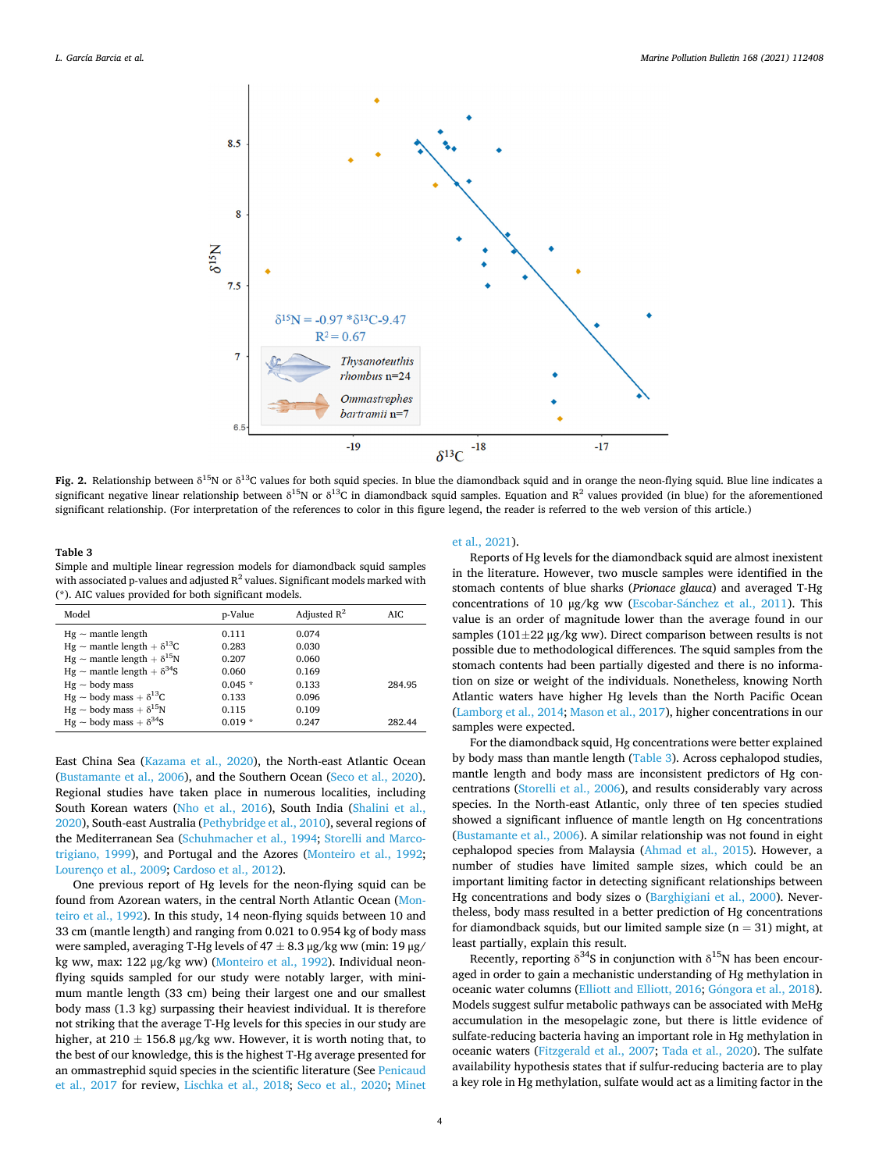<span id="page-3-0"></span>

**Fig. 2.** Relationship between  $\delta^{15}N$  or  $\delta^{13}C$  values for both squid species. In blue the diamondback squid and in orange the neon-flying squid. Blue line indicates a significant negative linear relationship between  $\delta^{15}N$  or  $\delta^{13}C$  in diamondback squid samples. Equation and  $R^2$  values provided (in blue) for the aforementioned significant relationship. (For interpretation of the references to color in this figure legend, the reader is referred to the web version of this article.)

**Table 3**  Simple and multiple linear regression models for diamondback squid samples with associated p-values and adjusted  $R^2$  values. Significant models marked with (\*). AIC values provided for both significant models.

| Model                                    | p-Value  | Adjusted $R^2$ | AIC.   |
|------------------------------------------|----------|----------------|--------|
| $Hg \sim$ mantle length                  | 0.111    | 0.074          |        |
| Hg $\sim$ mantle length + $\delta^{13}C$ | 0.283    | 0.030          |        |
| Hg $\sim$ mantle length + $\delta^{15}N$ | 0.207    | 0.060          |        |
| Hg $\sim$ mantle length + $\delta^{34}S$ | 0.060    | 0.169          |        |
| $Hg \sim$ body mass                      | $0.045*$ | 0.133          | 284.95 |
| $Hg \sim$ body mass + $\delta^{13}C$     | 0.133    | 0.096          |        |
| Hg ~ body mass + $\delta^{15}N$          | 0.115    | 0.109          |        |
| Hg ~ body mass + $\delta^{34}S$          | $0.019*$ | 0.247          | 282.44 |

East China Sea [\(Kazama et al., 2020\)](#page-5-0), the North-east Atlantic Ocean ([Bustamante et al., 2006\)](#page-4-0), and the Southern Ocean [\(Seco et al., 2020](#page-5-0)). Regional studies have taken place in numerous localities, including South Korean waters [\(Nho et al., 2016](#page-5-0)), South India [\(Shalini et al.,](#page-5-0)  [2020\)](#page-5-0), South-east Australia ([Pethybridge et al., 2010\)](#page-5-0), several regions of the Mediterranean Sea ([Schuhmacher et al., 1994](#page-5-0); [Storelli and Marco](#page-5-0)[trigiano, 1999\)](#page-5-0), and Portugal and the Azores [\(Monteiro et al., 1992](#page-5-0); [Lourenço et al., 2009;](#page-5-0) [Cardoso et al., 2012\)](#page-4-0).

One previous report of Hg levels for the neon-flying squid can be found from Azorean waters, in the central North Atlantic Ocean [\(Mon](#page-5-0)[teiro et al., 1992\)](#page-5-0). In this study, 14 neon-flying squids between 10 and 33 cm (mantle length) and ranging from 0.021 to 0.954 kg of body mass were sampled, averaging T-Hg levels of  $47 \pm 8.3$   $\mu$ g/kg ww (min: 19  $\mu$ g/ kg ww, max: 122 μg/kg ww) [\(Monteiro et al., 1992](#page-5-0)). Individual neonflying squids sampled for our study were notably larger, with minimum mantle length (33 cm) being their largest one and our smallest body mass (1.3 kg) surpassing their heaviest individual. It is therefore not striking that the average T-Hg levels for this species in our study are higher, at 210  $\pm$  156.8 µg/kg ww. However, it is worth noting that, to the best of our knowledge, this is the highest T-Hg average presented for an ommastrephid squid species in the scientific literature (See [Penicaud](#page-5-0)  [et al., 2017](#page-5-0) for review, [Lischka et al., 2018](#page-5-0); [Seco et al., 2020;](#page-5-0) [Minet](#page-5-0) 

## [et al., 2021\)](#page-5-0).

Reports of Hg levels for the diamondback squid are almost inexistent in the literature. However, two muscle samples were identified in the stomach contents of blue sharks (*Prionace glauca*) and averaged T-Hg concentrations of 10 μg/kg ww (Escobar-Sánchez et al., 2011). This value is an order of magnitude lower than the average found in our samples ( $101\pm22$  μg/kg ww). Direct comparison between results is not possible due to methodological differences. The squid samples from the stomach contents had been partially digested and there is no information on size or weight of the individuals. Nonetheless, knowing North Atlantic waters have higher Hg levels than the North Pacific Ocean ([Lamborg et al., 2014](#page-5-0); [Mason et al., 2017\)](#page-5-0), higher concentrations in our samples were expected.

For the diamondback squid, Hg concentrations were better explained by body mass than mantle length (Table 3). Across cephalopod studies, mantle length and body mass are inconsistent predictors of Hg concentrations ([Storelli et al., 2006\)](#page-5-0), and results considerably vary across species. In the North-east Atlantic, only three of ten species studied showed a significant influence of mantle length on Hg concentrations ([Bustamante et al., 2006\)](#page-4-0). A similar relationship was not found in eight cephalopod species from Malaysia ([Ahmad et al., 2015\)](#page-4-0). However, a number of studies have limited sample sizes, which could be an important limiting factor in detecting significant relationships between Hg concentrations and body sizes o ([Barghigiani et al., 2000\)](#page-4-0). Nevertheless, body mass resulted in a better prediction of Hg concentrations for diamondback squids, but our limited sample size  $(n = 31)$  might, at least partially, explain this result.

Recently, reporting  $\delta^{34}S$  in conjunction with  $\delta^{15}N$  has been encouraged in order to gain a mechanistic understanding of Hg methylation in oceanic water columns [\(Elliott and Elliott, 2016;](#page-5-0) Góngora [et al., 2018](#page-5-0)). Models suggest sulfur metabolic pathways can be associated with MeHg accumulation in the mesopelagic zone, but there is little evidence of sulfate-reducing bacteria having an important role in Hg methylation in oceanic waters [\(Fitzgerald et al., 2007](#page-5-0); [Tada et al., 2020](#page-5-0)). The sulfate availability hypothesis states that if sulfur-reducing bacteria are to play a key role in Hg methylation, sulfate would act as a limiting factor in the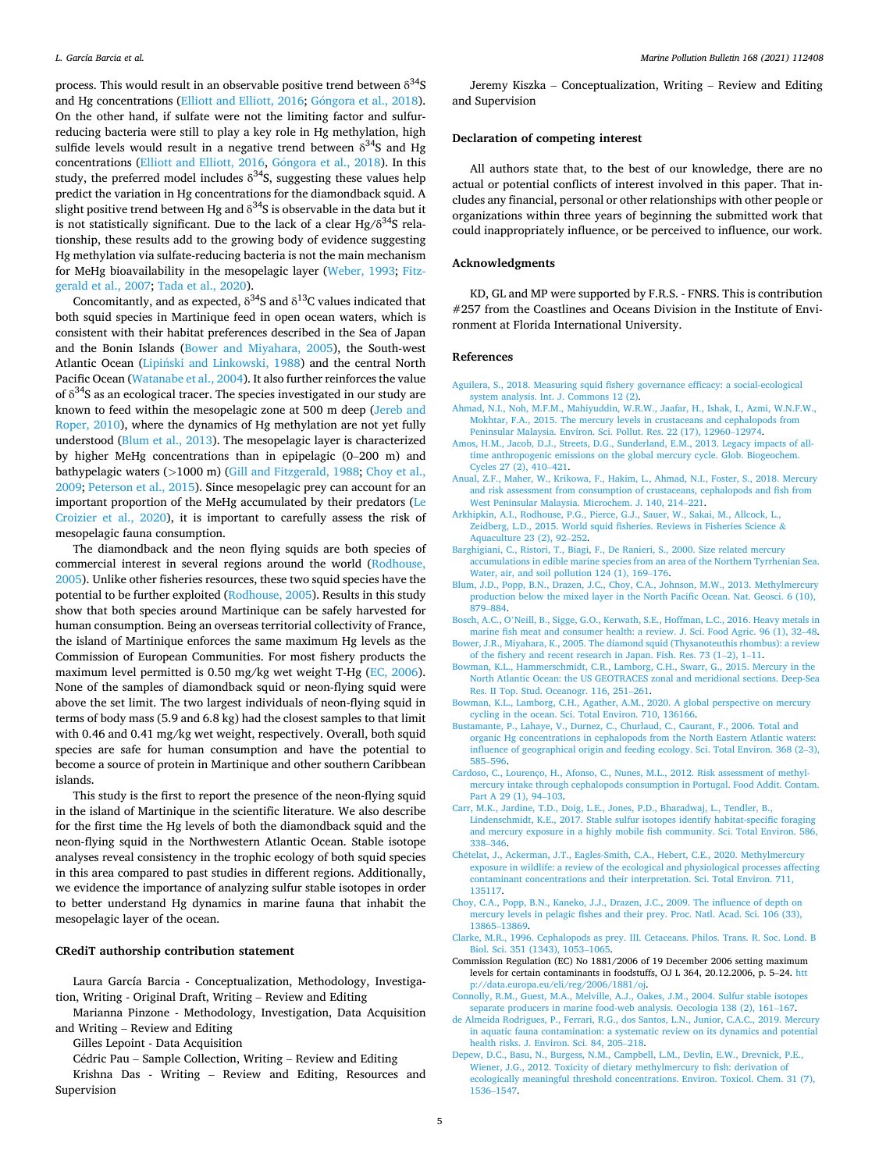<span id="page-4-0"></span>process. This would result in an observable positive trend between  $\delta^{34}S$ and Hg concentrations ([Elliott and Elliott, 2016](#page-5-0); Góngora [et al., 2018](#page-5-0)). On the other hand, if sulfate were not the limiting factor and sulfurreducing bacteria were still to play a key role in Hg methylation, high sulfide levels would result in a negative trend between  $\delta^{34}S$  and Hg concentrations [\(Elliott and Elliott, 2016](#page-5-0), Góngora [et al., 2018](#page-5-0)). In this study, the preferred model includes  $\delta^{34}S$ , suggesting these values help predict the variation in Hg concentrations for the diamondback squid. A slight positive trend between Hg and  $\delta^{34}$ S is observable in the data but it is not statistically significant. Due to the lack of a clear Hg/ $\delta^{34}S$  relationship, these results add to the growing body of evidence suggesting Hg methylation via sulfate-reducing bacteria is not the main mechanism for MeHg bioavailability in the mesopelagic layer [\(Weber, 1993;](#page-5-0) [Fitz](#page-5-0)[gerald et al., 2007](#page-5-0); [Tada et al., 2020\)](#page-5-0).

Concomitantly, and as expected,  $\delta^{34}S$  and  $\delta^{13}C$  values indicated that both squid species in Martinique feed in open ocean waters, which is consistent with their habitat preferences described in the Sea of Japan and the Bonin Islands (Bower and Miyahara, 2005), the South-west Atlantic Ocean (Lipiński [and Linkowski, 1988\)](#page-5-0) and the central North Pacific Ocean [\(Watanabe et al., 2004\)](#page-5-0). It also further reinforces the value of  $\delta^{34}$ S as an ecological tracer. The species investigated in our study are known to feed within the mesopelagic zone at 500 m deep ([Jereb and](#page-5-0)  [Roper, 2010](#page-5-0)), where the dynamics of Hg methylation are not yet fully understood (Blum et al., 2013). The mesopelagic layer is characterized by higher MeHg concentrations than in epipelagic (0–200 m) and bathypelagic waters (*>*1000 m) [\(Gill and Fitzgerald, 1988;](#page-5-0) Choy et al., 2009; [Peterson et al., 2015](#page-5-0)). Since mesopelagic prey can account for an important proportion of the MeHg accumulated by their predators ([Le](#page-5-0)  [Croizier et al., 2020\)](#page-5-0), it is important to carefully assess the risk of mesopelagic fauna consumption.

The diamondback and the neon flying squids are both species of commercial interest in several regions around the world ([Rodhouse,](#page-5-0)  [2005\)](#page-5-0). Unlike other fisheries resources, these two squid species have the potential to be further exploited ([Rodhouse, 2005](#page-5-0)). Results in this study show that both species around Martinique can be safely harvested for human consumption. Being an overseas territorial collectivity of France, the island of Martinique enforces the same maximum Hg levels as the Commission of European Communities. For most fishery products the maximum level permitted is 0.50 mg/kg wet weight T-Hg (EC, 2006). None of the samples of diamondback squid or neon-flying squid were above the set limit. The two largest individuals of neon-flying squid in terms of body mass (5.9 and 6.8 kg) had the closest samples to that limit with 0.46 and 0.41 mg/kg wet weight, respectively. Overall, both squid species are safe for human consumption and have the potential to become a source of protein in Martinique and other southern Caribbean islands.

This study is the first to report the presence of the neon-flying squid in the island of Martinique in the scientific literature. We also describe for the first time the Hg levels of both the diamondback squid and the neon-flying squid in the Northwestern Atlantic Ocean. Stable isotope analyses reveal consistency in the trophic ecology of both squid species in this area compared to past studies in different regions. Additionally, we evidence the importance of analyzing sulfur stable isotopes in order to better understand Hg dynamics in marine fauna that inhabit the mesopelagic layer of the ocean.

#### **CRediT authorship contribution statement**

Laura García Barcia - Conceptualization, Methodology, Investigation, Writing - Original Draft, Writing – Review and Editing

Marianna Pinzone - Methodology, Investigation, Data Acquisition and Writing – Review and Editing

Gilles Lepoint - Data Acquisition

Cédric Pau – Sample Collection, Writing – Review and Editing

Krishna Das - Writing – Review and Editing, Resources and Supervision

Jeremy Kiszka – Conceptualization, Writing – Review and Editing and Supervision

## **Declaration of competing interest**

All authors state that, to the best of our knowledge, there are no actual or potential conflicts of interest involved in this paper. That includes any financial, personal or other relationships with other people or organizations within three years of beginning the submitted work that could inappropriately influence, or be perceived to influence, our work.

### **Acknowledgments**

KD, GL and MP were supported by F.R.S. - FNRS. This is contribution #257 from the Coastlines and Oceans Division in the Institute of Environment at Florida International University.

#### **References**

- [Aguilera, S., 2018. Measuring squid fishery governance efficacy: a social-ecological](http://refhub.elsevier.com/S0025-326X(21)00442-2/rf0005)  [system analysis. Int. J. Commons 12 \(2\).](http://refhub.elsevier.com/S0025-326X(21)00442-2/rf0005)
- [Ahmad, N.I., Noh, M.F.M., Mahiyuddin, W.R.W., Jaafar, H., Ishak, I., Azmi, W.N.F.W.,](http://refhub.elsevier.com/S0025-326X(21)00442-2/rf0010) [Mokhtar, F.A., 2015. The mercury levels in crustaceans and cephalopods from](http://refhub.elsevier.com/S0025-326X(21)00442-2/rf0010) [Peninsular Malaysia. Environ. Sci. Pollut. Res. 22 \(17\), 12960](http://refhub.elsevier.com/S0025-326X(21)00442-2/rf0010)–12974.
- [Amos, H.M., Jacob, D.J., Streets, D.G., Sunderland, E.M., 2013. Legacy impacts of all](http://refhub.elsevier.com/S0025-326X(21)00442-2/rf0015)[time anthropogenic emissions on the global mercury cycle. Glob. Biogeochem.](http://refhub.elsevier.com/S0025-326X(21)00442-2/rf0015) [Cycles 27 \(2\), 410](http://refhub.elsevier.com/S0025-326X(21)00442-2/rf0015)–421.
- [Anual, Z.F., Maher, W., Krikowa, F., Hakim, L., Ahmad, N.I., Foster, S., 2018. Mercury](http://refhub.elsevier.com/S0025-326X(21)00442-2/rf0020) [and risk assessment from consumption of crustaceans, cephalopods and fish from](http://refhub.elsevier.com/S0025-326X(21)00442-2/rf0020) [West Peninsular Malaysia. Microchem. J. 140, 214](http://refhub.elsevier.com/S0025-326X(21)00442-2/rf0020)–221.
- [Arkhipkin, A.I., Rodhouse, P.G., Pierce, G.J., Sauer, W., Sakai, M., Allcock, L.,](http://refhub.elsevier.com/S0025-326X(21)00442-2/rf0025)  [Zeidberg, L.D., 2015. World squid fisheries. Reviews in Fisheries Science](http://refhub.elsevier.com/S0025-326X(21)00442-2/rf0025) & [Aquaculture 23 \(2\), 92](http://refhub.elsevier.com/S0025-326X(21)00442-2/rf0025)–252.
- [Barghigiani, C., Ristori, T., Biagi, F., De Ranieri, S., 2000. Size related mercury](http://refhub.elsevier.com/S0025-326X(21)00442-2/rf0030) [accumulations in edible marine species from an area of the Northern Tyrrhenian Sea.](http://refhub.elsevier.com/S0025-326X(21)00442-2/rf0030)  [Water, air, and soil pollution 124 \(1\), 169](http://refhub.elsevier.com/S0025-326X(21)00442-2/rf0030)–176.
- [Blum, J.D., Popp, B.N., Drazen, J.C., Choy, C.A., Johnson, M.W., 2013. Methylmercury](http://refhub.elsevier.com/S0025-326X(21)00442-2/rf0035)  [production below the mixed layer in the North Pacific Ocean. Nat. Geosci. 6 \(10\),](http://refhub.elsevier.com/S0025-326X(21)00442-2/rf0035) 879–[884](http://refhub.elsevier.com/S0025-326X(21)00442-2/rf0035).
- Bosch, A.C., O'[Neill, B., Sigge, G.O., Kerwath, S.E., Hoffman, L.C., 2016. Heavy metals in](http://refhub.elsevier.com/S0025-326X(21)00442-2/rf0040)  [marine fish meat and consumer health: a review. J. Sci. Food Agric. 96 \(1\), 32](http://refhub.elsevier.com/S0025-326X(21)00442-2/rf0040)–48.
- [Bower, J.R., Miyahara, K., 2005. The diamond squid \(Thysanoteuthis rhombus\): a review](http://refhub.elsevier.com/S0025-326X(21)00442-2/rf0045)  [of the fishery and recent research in Japan. Fish. Res. 73 \(1](http://refhub.elsevier.com/S0025-326X(21)00442-2/rf0045)–2), 1–11.
- [Bowman, K.L., Hammerschmidt, C.R., Lamborg, C.H., Swarr, G., 2015. Mercury in the](http://refhub.elsevier.com/S0025-326X(21)00442-2/rf0050)  [North Atlantic Ocean: the US GEOTRACES zonal and meridional sections. Deep-Sea](http://refhub.elsevier.com/S0025-326X(21)00442-2/rf0050)  [Res. II Top. Stud. Oceanogr. 116, 251](http://refhub.elsevier.com/S0025-326X(21)00442-2/rf0050)–261.
- [Bowman, K.L., Lamborg, C.H., Agather, A.M., 2020. A global perspective on mercury](http://refhub.elsevier.com/S0025-326X(21)00442-2/rf0055)  [cycling in the ocean. Sci. Total Environ. 710, 136166](http://refhub.elsevier.com/S0025-326X(21)00442-2/rf0055).
- [Bustamante, P., Lahaye, V., Durnez, C., Churlaud, C., Caurant, F., 2006. Total and](http://refhub.elsevier.com/S0025-326X(21)00442-2/rf0060) [organic Hg concentrations in cephalopods from the North Eastern Atlantic waters:](http://refhub.elsevier.com/S0025-326X(21)00442-2/rf0060) [influence of geographical origin and feeding ecology. Sci. Total Environ. 368 \(2](http://refhub.elsevier.com/S0025-326X(21)00442-2/rf0060)–3), 585–[596](http://refhub.elsevier.com/S0025-326X(21)00442-2/rf0060).
- [Cardoso, C., Lourenço, H., Afonso, C., Nunes, M.L., 2012. Risk assessment of methyl](http://refhub.elsevier.com/S0025-326X(21)00442-2/rf0065)[mercury intake through cephalopods consumption in Portugal. Food Addit. Contam.](http://refhub.elsevier.com/S0025-326X(21)00442-2/rf0065)  [Part A 29 \(1\), 94](http://refhub.elsevier.com/S0025-326X(21)00442-2/rf0065)-103.
- [Carr, M.K., Jardine, T.D., Doig, L.E., Jones, P.D., Bharadwaj, L., Tendler, B.,](http://refhub.elsevier.com/S0025-326X(21)00442-2/rf0070)  [Lindenschmidt, K.E., 2017. Stable sulfur isotopes identify habitat-specific foraging](http://refhub.elsevier.com/S0025-326X(21)00442-2/rf0070)  [and mercury exposure in a highly mobile fish community. Sci. Total Environ. 586,](http://refhub.elsevier.com/S0025-326X(21)00442-2/rf0070) 338–[346](http://refhub.elsevier.com/S0025-326X(21)00442-2/rf0070).
- Chételat, J., Ackerman, J.T., Eagles-Smith, C.A., Hebert, C.E., 2020. Methylmercury [exposure in wildlife: a review of the ecological and physiological processes affecting](http://refhub.elsevier.com/S0025-326X(21)00442-2/rf0075)  [contaminant concentrations and their interpretation. Sci. Total Environ. 711,](http://refhub.elsevier.com/S0025-326X(21)00442-2/rf0075) [135117](http://refhub.elsevier.com/S0025-326X(21)00442-2/rf0075).
- [Choy, C.A., Popp, B.N., Kaneko, J.J., Drazen, J.C., 2009. The influence of depth on](http://refhub.elsevier.com/S0025-326X(21)00442-2/rf0080)  [mercury levels in pelagic fishes and their prey. Proc. Natl. Acad. Sci. 106 \(33\),](http://refhub.elsevier.com/S0025-326X(21)00442-2/rf0080)  13865–[13869.](http://refhub.elsevier.com/S0025-326X(21)00442-2/rf0080)
- [Clarke, M.R., 1996. Cephalopods as prey. III. Cetaceans. Philos. Trans. R. Soc. Lond. B](http://refhub.elsevier.com/S0025-326X(21)00442-2/rf0085) [Biol. Sci. 351 \(1343\), 1053](http://refhub.elsevier.com/S0025-326X(21)00442-2/rf0085)–1065.
- Commission Regulation (EC) No 1881/2006 of 19 December 2006 setting maximum levels for certain contaminants in foodstuffs, OJ L 364, 20.12.2006, p. 5–24. [htt](http://data.europa.eu/eli/reg/2006/1881/oj) [p://data.europa.eu/eli/reg/2006/1881/oj.](http://data.europa.eu/eli/reg/2006/1881/oj)
- [Connolly, R.M., Guest, M.A., Melville, A.J., Oakes, J.M., 2004. Sulfur stable isotopes](http://refhub.elsevier.com/S0025-326X(21)00442-2/rf0090)  [separate producers in marine food-web analysis. Oecologia 138 \(2\), 161](http://refhub.elsevier.com/S0025-326X(21)00442-2/rf0090)–167.
- [de Almeida Rodrigues, P., Ferrari, R.G., dos Santos, L.N., Junior, C.A.C., 2019. Mercury](http://refhub.elsevier.com/S0025-326X(21)00442-2/rf0095)  [in aquatic fauna contamination: a systematic review on its dynamics and potential](http://refhub.elsevier.com/S0025-326X(21)00442-2/rf0095) [health risks. J. Environ. Sci. 84, 205](http://refhub.elsevier.com/S0025-326X(21)00442-2/rf0095)–218.
- [Depew, D.C., Basu, N., Burgess, N.M., Campbell, L.M., Devlin, E.W., Drevnick, P.E.,](http://refhub.elsevier.com/S0025-326X(21)00442-2/rf0100)  [Wiener, J.G., 2012. Toxicity of dietary methylmercury to fish: derivation of](http://refhub.elsevier.com/S0025-326X(21)00442-2/rf0100)  [ecologically meaningful threshold concentrations. Environ. Toxicol. Chem. 31 \(7\),](http://refhub.elsevier.com/S0025-326X(21)00442-2/rf0100)  [1536](http://refhub.elsevier.com/S0025-326X(21)00442-2/rf0100)–1547.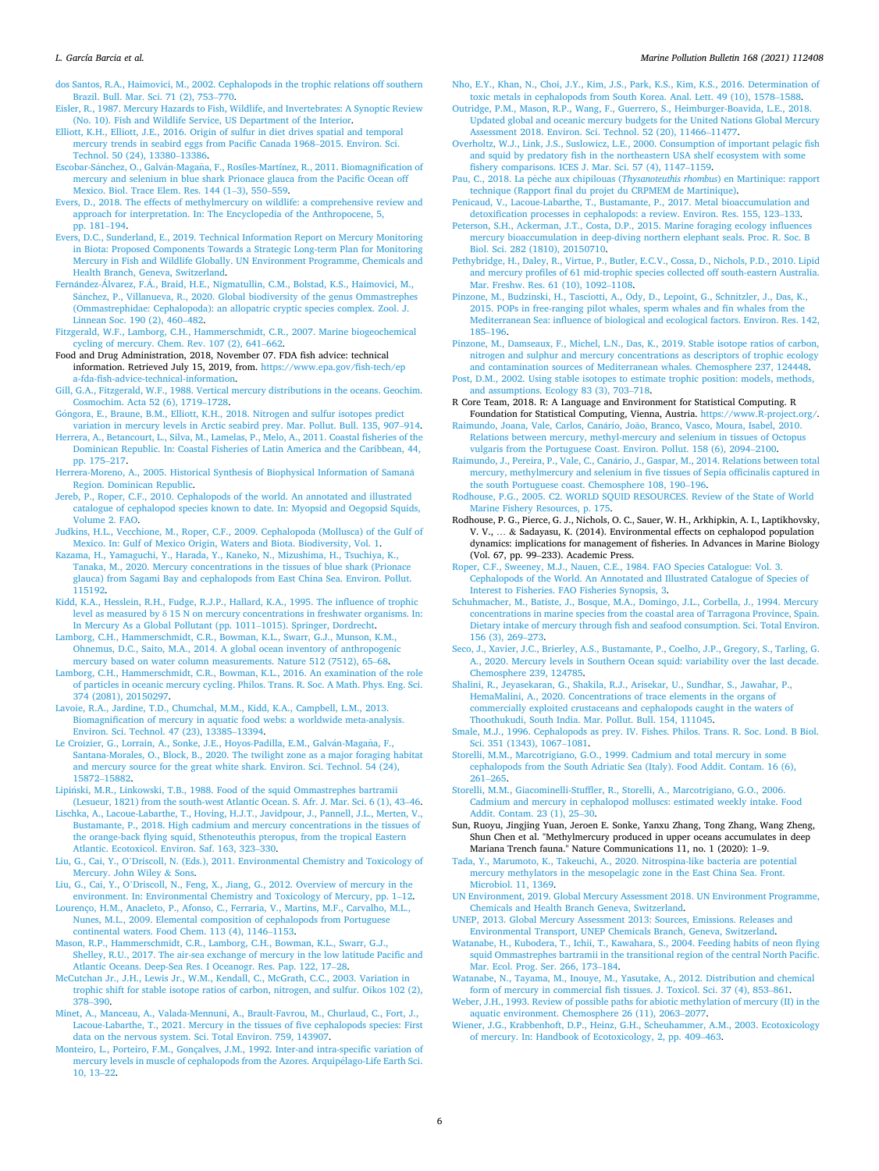#### <span id="page-5-0"></span>*L. García Barcia et al.*

- [dos Santos, R.A., Haimovici, M., 2002. Cephalopods in the trophic relations off southern](http://refhub.elsevier.com/S0025-326X(21)00442-2/rf0105)  [Brazil. Bull. Mar. Sci. 71 \(2\), 753](http://refhub.elsevier.com/S0025-326X(21)00442-2/rf0105)–770.
- [Eisler, R., 1987. Mercury Hazards to Fish, Wildlife, and Invertebrates: A Synoptic Review](http://refhub.elsevier.com/S0025-326X(21)00442-2/rf0110)  [\(No. 10\). Fish and Wildlife Service, US Department of the Interior](http://refhub.elsevier.com/S0025-326X(21)00442-2/rf0110).
- [Elliott, K.H., Elliott, J.E., 2016. Origin of sulfur in diet drives spatial and temporal](http://refhub.elsevier.com/S0025-326X(21)00442-2/rf0115) [mercury trends in seabird eggs from Pacific Canada 1968](http://refhub.elsevier.com/S0025-326X(21)00442-2/rf0115)–2015. Environ. Sci. [Technol. 50 \(24\), 13380](http://refhub.elsevier.com/S0025-326X(21)00442-2/rf0115)–13386.
- Escobar-Sánchez, O., Galván-Magaña, F., Rosíles-Martínez, R., 2011. Biomagnification of [mercury and selenium in blue shark Prionace glauca from the Pacific Ocean off](http://refhub.elsevier.com/S0025-326X(21)00442-2/rf0120)  [Mexico. Biol. Trace Elem. Res. 144 \(1](http://refhub.elsevier.com/S0025-326X(21)00442-2/rf0120)–3), 550–559.
- [Evers, D., 2018. The effects of methylmercury on wildlife: a comprehensive review and](http://refhub.elsevier.com/S0025-326X(21)00442-2/rf0125)  [approach for interpretation. In: The Encyclopedia of the Anthropocene, 5,](http://refhub.elsevier.com/S0025-326X(21)00442-2/rf0125)  [pp. 181](http://refhub.elsevier.com/S0025-326X(21)00442-2/rf0125)–194.
- [Evers, D.C., Sunderland, E., 2019. Technical Information Report on Mercury Monitoring](http://refhub.elsevier.com/S0025-326X(21)00442-2/rf0130)  [in Biota: Proposed Components Towards a Strategic Long-term Plan for Monitoring](http://refhub.elsevier.com/S0025-326X(21)00442-2/rf0130)  [Mercury in Fish and Wildlife Globally. UN Environment Programme, Chemicals and](http://refhub.elsevier.com/S0025-326X(21)00442-2/rf0130)  [Health Branch, Geneva, Switzerland](http://refhub.elsevier.com/S0025-326X(21)00442-2/rf0130).
- Fernández-Álvarez, F.Á., Braid, H.E., Nigmatullin, C.M., Bolstad, K.S., Haimovici, M., Sánchez, P., Villanueva, R., 2020. Global biodiversity of the genus Ommastrephes [\(Ommastrephidae: Cephalopoda\): an allopatric cryptic species complex. Zool. J.](http://refhub.elsevier.com/S0025-326X(21)00442-2/rf0135)  [Linnean Soc. 190 \(2\), 460](http://refhub.elsevier.com/S0025-326X(21)00442-2/rf0135)–482.
- [Fitzgerald, W.F., Lamborg, C.H., Hammerschmidt, C.R., 2007. Marine biogeochemical](http://refhub.elsevier.com/S0025-326X(21)00442-2/rf0140) [cycling of mercury. Chem. Rev. 107 \(2\), 641](http://refhub.elsevier.com/S0025-326X(21)00442-2/rf0140)–662.
- Food and Drug Administration, 2018, November 07. FDA fish advice: technical information. Retrieved July 15, 2019, from. [https://www.epa.gov/fish-tech/ep](https://www.epa.gov/fish-tech/epa-fda-fish-advice-technical-information)  [a-fda-fish-advice-technical-information](https://www.epa.gov/fish-tech/epa-fda-fish-advice-technical-information).
- [Gill, G.A., Fitzgerald, W.F., 1988. Vertical mercury distributions in the oceans. Geochim.](http://refhub.elsevier.com/S0025-326X(21)00442-2/rf0150)  [Cosmochim. Acta 52 \(6\), 1719](http://refhub.elsevier.com/S0025-326X(21)00442-2/rf0150)–1728.

Góngora, [E., Braune, B.M., Elliott, K.H., 2018. Nitrogen and sulfur isotopes predict](http://refhub.elsevier.com/S0025-326X(21)00442-2/rf0155) [variation in mercury levels in Arctic seabird prey. Mar. Pollut. Bull. 135, 907](http://refhub.elsevier.com/S0025-326X(21)00442-2/rf0155)–914.

- [Herrera, A., Betancourt, L., Silva, M., Lamelas, P., Melo, A., 2011. Coastal fisheries of the](http://refhub.elsevier.com/S0025-326X(21)00442-2/rf0160)  [Dominican Republic. In: Coastal Fisheries of Latin America and the Caribbean, 44,](http://refhub.elsevier.com/S0025-326X(21)00442-2/rf0160) [pp. 175](http://refhub.elsevier.com/S0025-326X(21)00442-2/rf0160)–217.
- [Herrera-Moreno, A., 2005. Historical Synthesis of Biophysical Information of Saman](http://refhub.elsevier.com/S0025-326X(21)00442-2/rf0165)á [Region. Dominican Republic.](http://refhub.elsevier.com/S0025-326X(21)00442-2/rf0165)
- [Jereb, P., Roper, C.F., 2010. Cephalopods of the world. An annotated and illustrated](http://refhub.elsevier.com/S0025-326X(21)00442-2/rf0170) [catalogue of cephalopod species known to date. In: Myopsid and Oegopsid Squids,](http://refhub.elsevier.com/S0025-326X(21)00442-2/rf0170) [Volume 2. FAO](http://refhub.elsevier.com/S0025-326X(21)00442-2/rf0170).
- [Judkins, H.L., Vecchione, M., Roper, C.F., 2009. Cephalopoda \(Mollusca\) of the Gulf of](http://refhub.elsevier.com/S0025-326X(21)00442-2/rf0175)  [Mexico. In: Gulf of Mexico Origin, Waters and Biota. Biodiversity, Vol. 1](http://refhub.elsevier.com/S0025-326X(21)00442-2/rf0175).
- [Kazama, H., Yamaguchi, Y., Harada, Y., Kaneko, N., Mizushima, H., Tsuchiya, K.,](http://refhub.elsevier.com/S0025-326X(21)00442-2/rf0180) [Tanaka, M., 2020. Mercury concentrations in the tissues of blue shark \(Prionace](http://refhub.elsevier.com/S0025-326X(21)00442-2/rf0180)  [glauca\) from Sagami Bay and cephalopods from East China Sea. Environ. Pollut.](http://refhub.elsevier.com/S0025-326X(21)00442-2/rf0180) [115192](http://refhub.elsevier.com/S0025-326X(21)00442-2/rf0180).
- [Kidd, K.A., Hesslein, R.H., Fudge, R.J.P., Hallard, K.A., 1995. The influence of trophic](http://refhub.elsevier.com/S0025-326X(21)00442-2/rf0185) level as measured by δ [15 N on mercury concentrations in freshwater organisms. In:](http://refhub.elsevier.com/S0025-326X(21)00442-2/rf0185)  [In Mercury As a Global Pollutant \(pp. 1011](http://refhub.elsevier.com/S0025-326X(21)00442-2/rf0185)–1015). Springer, Dordrecht.
- [Lamborg, C.H., Hammerschmidt, C.R., Bowman, K.L., Swarr, G.J., Munson, K.M.,](http://refhub.elsevier.com/S0025-326X(21)00442-2/rf0190) [Ohnemus, D.C., Saito, M.A., 2014. A global ocean inventory of anthropogenic](http://refhub.elsevier.com/S0025-326X(21)00442-2/rf0190)  [mercury based on water column measurements. Nature 512 \(7512\), 65](http://refhub.elsevier.com/S0025-326X(21)00442-2/rf0190)–68.
- [Lamborg, C.H., Hammerschmidt, C.R., Bowman, K.L., 2016. An examination of the role](http://refhub.elsevier.com/S0025-326X(21)00442-2/rf0195)  [of particles in oceanic mercury cycling. Philos. Trans. R. Soc. A Math. Phys. Eng. Sci.](http://refhub.elsevier.com/S0025-326X(21)00442-2/rf0195)  [374 \(2081\), 20150297](http://refhub.elsevier.com/S0025-326X(21)00442-2/rf0195).
- [Lavoie, R.A., Jardine, T.D., Chumchal, M.M., Kidd, K.A., Campbell, L.M., 2013.](http://refhub.elsevier.com/S0025-326X(21)00442-2/rf0200)  [Biomagnification of mercury in aquatic food webs: a worldwide meta-analysis.](http://refhub.elsevier.com/S0025-326X(21)00442-2/rf0200) [Environ. Sci. Technol. 47 \(23\), 13385](http://refhub.elsevier.com/S0025-326X(21)00442-2/rf0200)–13394.
- Le Croizier, G., Lorrain, A., Sonke, J.E., Hoyos-Padilla, E.M., Galván-Magaña, F., [Santana-Morales, O., Block, B., 2020. The twilight zone as a major foraging habitat](http://refhub.elsevier.com/S0025-326X(21)00442-2/rf0205)  [and mercury source for the great white shark. Environ. Sci. Technol. 54 \(24\),](http://refhub.elsevier.com/S0025-326X(21)00442-2/rf0205)  15872–[15882.](http://refhub.elsevier.com/S0025-326X(21)00442-2/rf0205)
- Lipiński, M.R., Linkowski, T.B., 1988. Food of the squid Ommastrephes bartramii [\(Lesueur, 1821\) from the south-west Atlantic Ocean. S. Afr. J. Mar. Sci. 6 \(1\), 43](http://refhub.elsevier.com/S0025-326X(21)00442-2/rf0210)–46.
- [Lischka, A., Lacoue-Labarthe, T., Hoving, H.J.T., Javidpour, J., Pannell, J.L., Merten, V.,](http://refhub.elsevier.com/S0025-326X(21)00442-2/rf1005)  [Bustamante, P., 2018. High cadmium and mercury concentrations in the tissues of](http://refhub.elsevier.com/S0025-326X(21)00442-2/rf1005)  [the orange-back flying squid, Sthenoteuthis pteropus, from the tropical Eastern](http://refhub.elsevier.com/S0025-326X(21)00442-2/rf1005) [Atlantic. Ecotoxicol. Environ. Saf. 163, 323](http://refhub.elsevier.com/S0025-326X(21)00442-2/rf1005)–330.
- Liu, G., Cai, Y., O'[Driscoll, N. \(Eds.\), 2011. Environmental Chemistry and Toxicology of](http://refhub.elsevier.com/S0025-326X(21)00442-2/rf0215)  [Mercury. John Wiley](http://refhub.elsevier.com/S0025-326X(21)00442-2/rf0215) & Sons.
- Liu, G., Cai, Y., O'[Driscoll, N., Feng, X., Jiang, G., 2012. Overview of mercury in the](http://refhub.elsevier.com/S0025-326X(21)00442-2/rf1010)  [environment. In: Environmental Chemistry and Toxicology of Mercury, pp. 1](http://refhub.elsevier.com/S0025-326X(21)00442-2/rf1010)–12.
- [Lourenço, H.M., Anacleto, P., Afonso, C., Ferraria, V., Martins, M.F., Carvalho, M.L.,](http://refhub.elsevier.com/S0025-326X(21)00442-2/rf0220)  Nunes, M.L., 2009. Elemental composition of cephalopods from Portugues [continental waters. Food Chem. 113 \(4\), 1146](http://refhub.elsevier.com/S0025-326X(21)00442-2/rf0220)–1153.
- [Mason, R.P., Hammerschmidt, C.R., Lamborg, C.H., Bowman, K.L., Swarr, G.J.,](http://refhub.elsevier.com/S0025-326X(21)00442-2/rf0225) [Shelley, R.U., 2017. The air-sea exchange of mercury in the low latitude Pacific and](http://refhub.elsevier.com/S0025-326X(21)00442-2/rf0225)  [Atlantic Oceans. Deep-Sea Res. I Oceanogr. Res. Pap. 122, 17](http://refhub.elsevier.com/S0025-326X(21)00442-2/rf0225)–28.
- [McCutchan Jr., J.H., Lewis Jr., W.M., Kendall, C., McGrath, C.C., 2003. Variation in](http://refhub.elsevier.com/S0025-326X(21)00442-2/rf0230)  [trophic shift for stable isotope ratios of carbon, nitrogen, and sulfur. Oikos 102 \(2\),](http://refhub.elsevier.com/S0025-326X(21)00442-2/rf0230)  378–[390](http://refhub.elsevier.com/S0025-326X(21)00442-2/rf0230).
- [Minet, A., Manceau, A., Valada-Mennuni, A., Brault-Favrou, M., Churlaud, C., Fort, J.,](http://refhub.elsevier.com/S0025-326X(21)00442-2/rf1015)  [Lacoue-Labarthe, T., 2021. Mercury in the tissues of five cephalopods species: First](http://refhub.elsevier.com/S0025-326X(21)00442-2/rf1015)  [data on the nervous system. Sci. Total Environ. 759, 143907.](http://refhub.elsevier.com/S0025-326X(21)00442-2/rf1015)
- [Monteiro, L., Porteiro, F.M., Gonçalves, J.M., 1992. Inter-and intra-specific variation of](http://refhub.elsevier.com/S0025-326X(21)00442-2/rf0235)  [mercury levels in muscle of cephalopods from the Azores. Arquip](http://refhub.elsevier.com/S0025-326X(21)00442-2/rf0235)élago-Life Earth Sci. [10, 13](http://refhub.elsevier.com/S0025-326X(21)00442-2/rf0235)–22.

[Nho, E.Y., Khan, N., Choi, J.Y., Kim, J.S., Park, K.S., Kim, K.S., 2016. Determination of](http://refhub.elsevier.com/S0025-326X(21)00442-2/rf0245) [toxic metals in cephalopods from South Korea. Anal. Lett. 49 \(10\), 1578](http://refhub.elsevier.com/S0025-326X(21)00442-2/rf0245)–1588.

- [Outridge, P.M., Mason, R.P., Wang, F., Guerrero, S., Heimburger-Boavida, L.E., 2018.](http://refhub.elsevier.com/S0025-326X(21)00442-2/rf0250) [Updated global and oceanic mercury budgets for the United Nations Global Mercury](http://refhub.elsevier.com/S0025-326X(21)00442-2/rf0250)  [Assessment 2018. Environ. Sci. Technol. 52 \(20\), 11466](http://refhub.elsevier.com/S0025-326X(21)00442-2/rf0250)–11477.
- [Overholtz, W.J., Link, J.S., Suslowicz, L.E., 2000. Consumption of important pelagic fish](http://refhub.elsevier.com/S0025-326X(21)00442-2/rf0255)  [and squid by predatory fish in the northeastern USA shelf ecosystem with some](http://refhub.elsevier.com/S0025-326X(21)00442-2/rf0255) [fishery comparisons. ICES J. Mar. Sci. 57 \(4\), 1147](http://refhub.elsevier.com/S0025-326X(21)00442-2/rf0255)–1159.
- Pau, C., 2018. La pˆeche aux chipilouas (*Thysanoteuthis rhombus*[\) en Martinique: rapport](http://refhub.elsevier.com/S0025-326X(21)00442-2/rf0260)  [technique \(Rapport final du projet du CRPMEM de Martinique\)](http://refhub.elsevier.com/S0025-326X(21)00442-2/rf0260).
- [Penicaud, V., Lacoue-Labarthe, T., Bustamante, P., 2017. Metal bioaccumulation and](http://refhub.elsevier.com/S0025-326X(21)00442-2/rf1020)  [detoxification processes in cephalopods: a review. Environ. Res. 155, 123](http://refhub.elsevier.com/S0025-326X(21)00442-2/rf1020)–133.
- [Peterson, S.H., Ackerman, J.T., Costa, D.P., 2015. Marine foraging ecology influences](http://refhub.elsevier.com/S0025-326X(21)00442-2/rf0265) [mercury bioaccumulation in deep-diving northern elephant seals. Proc. R. Soc. B](http://refhub.elsevier.com/S0025-326X(21)00442-2/rf0265) [Biol. Sci. 282 \(1810\), 20150710](http://refhub.elsevier.com/S0025-326X(21)00442-2/rf0265).
- [Pethybridge, H., Daley, R., Virtue, P., Butler, E.C.V., Cossa, D., Nichols, P.D., 2010. Lipid](http://refhub.elsevier.com/S0025-326X(21)00442-2/rf0270)  [and mercury profiles of 61 mid-trophic species collected off south-eastern Australia.](http://refhub.elsevier.com/S0025-326X(21)00442-2/rf0270)  [Mar. Freshw. Res. 61 \(10\), 1092](http://refhub.elsevier.com/S0025-326X(21)00442-2/rf0270)–1108.
- [Pinzone, M., Budzinski, H., Tasciotti, A., Ody, D., Lepoint, G., Schnitzler, J., Das, K.,](http://refhub.elsevier.com/S0025-326X(21)00442-2/rf0275)  [2015. POPs in free-ranging pilot whales, sperm whales and fin whales from the](http://refhub.elsevier.com/S0025-326X(21)00442-2/rf0275)  [Mediterranean Sea: influence of biological and ecological factors. Environ. Res. 142,](http://refhub.elsevier.com/S0025-326X(21)00442-2/rf0275)  185–[196](http://refhub.elsevier.com/S0025-326X(21)00442-2/rf0275).
- [Pinzone, M., Damseaux, F., Michel, L.N., Das, K., 2019. Stable isotope ratios of carbon,](http://refhub.elsevier.com/S0025-326X(21)00442-2/rf0280) [nitrogen and sulphur and mercury concentrations as descriptors of trophic ecology](http://refhub.elsevier.com/S0025-326X(21)00442-2/rf0280)  [and contamination sources of Mediterranean whales. Chemosphere 237, 124448](http://refhub.elsevier.com/S0025-326X(21)00442-2/rf0280).
- [Post, D.M., 2002. Using stable isotopes to estimate trophic position: models, methods,](http://refhub.elsevier.com/S0025-326X(21)00442-2/rf0285) [and assumptions. Ecology 83 \(3\), 703](http://refhub.elsevier.com/S0025-326X(21)00442-2/rf0285)–718.
- R Core Team, 2018. R: A Language and Environment for Statistical Computing. R Foundation for Statistical Computing, Vienna, Austria. [https://www.R-project.org/.](https://www.R-project.org/)
- Raimundo, Joana, Vale, Carlos, Canário, João, Branco, Vasco, Moura, Isabel, 2010. [Relations between mercury, methyl-mercury and selenium in tissues of Octopus](http://refhub.elsevier.com/S0025-326X(21)00442-2/rf0290) [vulgaris from the Portuguese Coast. Environ. Pollut. 158 \(6\), 2094](http://refhub.elsevier.com/S0025-326X(21)00442-2/rf0290)–2100.
- Raimundo, J., Pereira, P., Vale, C., Canário, J., Gaspar, M., 2014. Relations between total mercury, methylmercury and selenium in five tissues of Sepia officinalis captured in [the south Portuguese coast. Chemosphere 108, 190](http://refhub.elsevier.com/S0025-326X(21)00442-2/rf0295)–196.
- [Rodhouse, P.G., 2005. C2. WORLD SQUID RESOURCES. Review of the State of World](http://refhub.elsevier.com/S0025-326X(21)00442-2/rf0300)  [Marine Fishery Resources, p. 175.](http://refhub.elsevier.com/S0025-326X(21)00442-2/rf0300)
- Rodhouse, P. G., Pierce, G. J., Nichols, O. C., Sauer, W. H., Arkhipkin, A. I., Laptikhovsky, V. V., … & Sadayasu, K. (2014). Environmental effects on cephalopod population dynamics: implications for management of fisheries. In Advances in Marine Biology (Vol. 67, pp. 99–233). Academic Press.

[Roper, C.F., Sweeney, M.J., Nauen, C.E., 1984. FAO Species Catalogue: Vol. 3.](http://refhub.elsevier.com/S0025-326X(21)00442-2/rf0305)  [Cephalopods of the World. An Annotated and Illustrated Catalogue of Species of](http://refhub.elsevier.com/S0025-326X(21)00442-2/rf0305) [Interest to Fisheries. FAO Fisheries Synopsis, 3.](http://refhub.elsevier.com/S0025-326X(21)00442-2/rf0305)

- [Schuhmacher, M., Batiste, J., Bosque, M.A., Domingo, J.L., Corbella, J., 1994. Mercury](http://refhub.elsevier.com/S0025-326X(21)00442-2/rf0310)  [concentrations in marine species from the coastal area of Tarragona Province, Spain.](http://refhub.elsevier.com/S0025-326X(21)00442-2/rf0310)  [Dietary intake of mercury through fish and seafood consumption. Sci. Total Environ.](http://refhub.elsevier.com/S0025-326X(21)00442-2/rf0310)  [156 \(3\), 269](http://refhub.elsevier.com/S0025-326X(21)00442-2/rf0310)–273.
- [Seco, J., Xavier, J.C., Brierley, A.S., Bustamante, P., Coelho, J.P., Gregory, S., Tarling, G.](http://refhub.elsevier.com/S0025-326X(21)00442-2/rf0315)  [A., 2020. Mercury levels in Southern Ocean squid: variability over the last decade.](http://refhub.elsevier.com/S0025-326X(21)00442-2/rf0315) [Chemosphere 239, 124785](http://refhub.elsevier.com/S0025-326X(21)00442-2/rf0315).
- [Shalini, R., Jeyasekaran, G., Shakila, R.J., Arisekar, U., Sundhar, S., Jawahar, P.,](http://refhub.elsevier.com/S0025-326X(21)00442-2/rf0320) [HemaMalini, A., 2020. Concentrations of trace elements in the organs of](http://refhub.elsevier.com/S0025-326X(21)00442-2/rf0320) [commercially exploited crustaceans and cephalopods caught in the waters of](http://refhub.elsevier.com/S0025-326X(21)00442-2/rf0320)  [Thoothukudi, South India. Mar. Pollut. Bull. 154, 111045.](http://refhub.elsevier.com/S0025-326X(21)00442-2/rf0320)
- [Smale, M.J., 1996. Cephalopods as prey. IV. Fishes. Philos. Trans. R. Soc. Lond. B Biol.](http://refhub.elsevier.com/S0025-326X(21)00442-2/rf0325) [Sci. 351 \(1343\), 1067](http://refhub.elsevier.com/S0025-326X(21)00442-2/rf0325)–1081.
- [Storelli, M.M., Marcotrigiano, G.O., 1999. Cadmium and total mercury in some](http://refhub.elsevier.com/S0025-326X(21)00442-2/rf0330) [cephalopods from the South Adriatic Sea \(Italy\). Food Addit. Contam. 16 \(6\),](http://refhub.elsevier.com/S0025-326X(21)00442-2/rf0330)  261–[265](http://refhub.elsevier.com/S0025-326X(21)00442-2/rf0330).
- [Storelli, M.M., Giacominelli-Stuffler, R., Storelli, A., Marcotrigiano, G.O., 2006.](http://refhub.elsevier.com/S0025-326X(21)00442-2/rf0335)  [Cadmium and mercury in cephalopod molluscs: estimated weekly intake. Food](http://refhub.elsevier.com/S0025-326X(21)00442-2/rf0335)  [Addit. Contam. 23 \(1\), 25](http://refhub.elsevier.com/S0025-326X(21)00442-2/rf0335)–30.
- Sun, Ruoyu, Jingjing Yuan, Jeroen E. Sonke, Yanxu Zhang, Tong Zhang, Wang Zheng, Shun Chen et al. "Methylmercury produced in upper oceans accumulates in deep Mariana Trench fauna." Nature Communications 11, no. 1 (2020): 1–9.
- [Tada, Y., Marumoto, K., Takeuchi, A., 2020. Nitrospina-like bacteria are potential](http://refhub.elsevier.com/S0025-326X(21)00442-2/rf0345) [mercury methylators in the mesopelagic zone in the East China Sea. Front.](http://refhub.elsevier.com/S0025-326X(21)00442-2/rf0345) [Microbiol. 11, 1369](http://refhub.elsevier.com/S0025-326X(21)00442-2/rf0345).
- [UN Environment, 2019. Global Mercury Assessment 2018. UN Environment Programme,](http://refhub.elsevier.com/S0025-326X(21)00442-2/rf0355)  [Chemicals and Health Branch Geneva, Switzerland](http://refhub.elsevier.com/S0025-326X(21)00442-2/rf0355).
- [UNEP, 2013. Global Mercury Assessment 2013: Sources, Emissions. Releases and](http://refhub.elsevier.com/S0025-326X(21)00442-2/rf0360) [Environmental Transport, UNEP Chemicals Branch, Geneva, Switzerland](http://refhub.elsevier.com/S0025-326X(21)00442-2/rf0360).
- [Watanabe, H., Kubodera, T., Ichii, T., Kawahara, S., 2004. Feeding habits of neon flying](http://refhub.elsevier.com/S0025-326X(21)00442-2/rf0365)  [squid Ommastrephes bartramii in the transitional region of the central North Pacific.](http://refhub.elsevier.com/S0025-326X(21)00442-2/rf0365)  [Mar. Ecol. Prog. Ser. 266, 173](http://refhub.elsevier.com/S0025-326X(21)00442-2/rf0365)–184.
- [Watanabe, N., Tayama, M., Inouye, M., Yasutake, A., 2012. Distribution and chemical](http://refhub.elsevier.com/S0025-326X(21)00442-2/rf1030) [form of mercury in commercial fish tissues. J. Toxicol. Sci. 37 \(4\), 853](http://refhub.elsevier.com/S0025-326X(21)00442-2/rf1030)–861.
- [Weber, J.H., 1993. Review of possible paths for abiotic methylation of mercury \(II\) in the](http://refhub.elsevier.com/S0025-326X(21)00442-2/rf0370)  [aquatic environment. Chemosphere 26 \(11\), 2063](http://refhub.elsevier.com/S0025-326X(21)00442-2/rf0370)–2077.
- [Wiener, J.G., Krabbenhoft, D.P., Heinz, G.H., Scheuhammer, A.M., 2003. Ecotoxicology](http://refhub.elsevier.com/S0025-326X(21)00442-2/rf0375)  [of mercury. In: Handbook of Ecotoxicology, 2, pp. 409](http://refhub.elsevier.com/S0025-326X(21)00442-2/rf0375)–463.